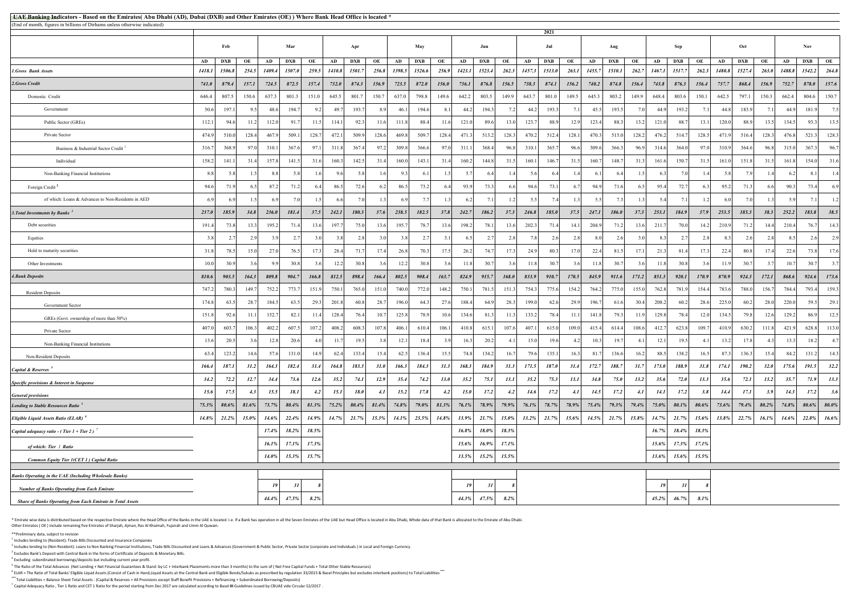## CBUAE Classification: Public#  **UAE Banking Indicators - Based on the Emirates( Abu Dhabi (AD), Dubai (DXB) and Other Emirates (OE) ) Where Bank Head Office is located \***

\* Emirate wise data is distributed based on the respective Emirate where the Head Office of the Banks in the UAE is located. I.e. If a Bank has operation in all the Seven Emirates of the UAE but Head Office is located in A Other Emirates ( OE ) include remaining five Emirates of Sharjah, Ajman, Ras Al Khaimah, Fujairah and Umm Al Quwain.

|                                                                   | 2021  |        |       |        |             |                |        |            |       |        |            |       |        |            |       |        |            |          |                |            |                |        |            |       |        |            |          |        |            |          |
|-------------------------------------------------------------------|-------|--------|-------|--------|-------------|----------------|--------|------------|-------|--------|------------|-------|--------|------------|-------|--------|------------|----------|----------------|------------|----------------|--------|------------|-------|--------|------------|----------|--------|------------|----------|
|                                                                   |       | Feb    |       |        | Mar         |                |        | Apr        |       |        | May        |       |        | Jun        |       |        | Jul        |          |                | Aug        |                |        | Sep        |       |        | Oct        |          |        | Nov        |          |
|                                                                   | AD    | DXB    | OE    | AD     | DXB         | OE             | AD     | <b>DXB</b> | OE    | AD     | <b>DXB</b> | OЕ    | AD     | <b>DXB</b> | OE    | AD     | <b>DXB</b> | OE       | AD             | <b>DXB</b> | OE             | AD     | <b>DXB</b> | OE    | AD     | <b>DXB</b> | OE       | AD     | <b>DXB</b> | OE       |
| <b>1.Gross Bank Assets</b>                                        | 1418. | 1506.8 | 254.5 | 1409.4 | 1507.0      | 259.5          | 1410.8 | 1501.7     | 256.8 | 1398.5 | 1526.6     | 256.9 | 1423.1 | 1523.4     | 262.3 | 1457.3 | 1513.0     | 263.1    | 1455.          | 1510.      | 262.7          | 1467.1 | 1517.7     | 262.3 | 1480.8 | 1527.4     | 263.0    | 1488.8 | 1542.2     | 264.8    |
| 2.Gross Credit                                                    | 741.0 | 879.4  | 157.1 | 724.5  | 872.5       | 157.4          | 732.0  | 874.3      | 156.9 | 723.5  | 872.0      | 156.0 | 736.1  | 876.8      | 156.5 | 738.3  | 874.1      | 156.2    | 740.2          | 874.8      | 156.4          | 743.8  | 876.3      | 156.4 | 737.7  | 868.4      | 156.9    | 752.7  | 878.0      | 157.6    |
| Domestic Credit                                                   | 646.4 | 807.5  | 150.6 | 637.3  | 801.3       | 151.0          | 645.5  | 801.7      | 150.7 | 637.0  | 798.8      | 149.6 | 642.2  | 803.5      | 149.9 | 643.7  | 801.0      | 149.5    | 645.3          | 803.2      | 149.9          | 648.4  | 803.6      | 150.1 | 642.5  | 797.1      | 150.3    | 662.4  | 804.6      | 150.7    |
| Government                                                        | 50.6  | 197.   | 9.5   | 48.6   | 194.7       | 9.2            | 49.7   | 193.7      | 8.9   | 46.1   | 194.6      | 8.1   | 44.2   | 194.3      | 7.2   | 44.2   | 193.3      | 7.1      | 45.            | 193.5      | 7.0            | 44.9   | 193.2      | 7.1   | 44.8   | 183.9      | 7.1      | 44.9   | 181.9      | 7.5      |
| Public Sector (GREs)                                              | 112.  | 94.0   | 11.2  | 112.0  | 91.7        | 11.5           | 114.1  | 92.3       | 11.6  | 111.8  | 88.4       | 11.6  | 121.0  | 89.6       | 13.0  | 123.7  | 88.9       | 12.9     | 123.           | 88.        | 13.2           | 121.0  | 88.7       | 13.1  | 120.0  | 88.9       | 13.5     | 134.5  | 93.3       | 13.5     |
| Private Sector                                                    | 474.9 | 510.0  | 128.4 | 467.9  | 509.        | 128.7          | 472.1  | 509.9      | 128.6 | 469.8  | 509.       | 128.4 | 471.   | 513.       | 128.3 | 470.2  | 512.4      | 128.1    | 470.           | 515.0      | 128.2          | 476.2  | 514.7      | 128.5 | 471.9  | 516.4      | 128.3    | 476.8  | 521.3      | 128.3    |
| Business & Industrial Sector Credit <sup>1</sup>                  | 316.7 | 368.9  | 97.0  | 310.1  | 367.6       | 97.1           | 311.8  | 367.4      | 97.2  | 309.8  | 366.6      | 97.0  | 311.   | 368.4      | 96.8  | 310.1  | 365.7      | 96.6     | 309.           | 366.3      | 96.            | 314.6  | 364.0      | 97.0  | 310.9  | 364.6      | 96.8     | 315.0  | 367.3      | 96.7     |
| Individual                                                        | 158.2 | 141.   | 31.4  | 157.8  | 141.5       | 31.6           | 160.3  | 142.5      | 31.4  | 160.0  | 143.1      | 31.4  | 160.2  | 144.8      | 31.5  | 160.1  | 146.7      | 31.5     | 160.           | 148.7      | 31.3           | 161.6  | 150.7      | 31.5  | 161.0  | 151.8      | 31.5     | 161.8  | 154.0      | 31.6     |
| Non-Banking Financial Institutions                                | 8.8   | 5.8    |       | 8.8    | 5.8         | 1 <sub>6</sub> | 9.6    | 5.8        | 1.6   | 9.3    | -6.        |       | 5.7    | 6.4        |       | 5.6    | 6.4        |          |                |            |                | 6.3    | 7.0        | 1.4   | 5.8    | 7.9        | 1.4      | 6.2    | -8.        | 1.4      |
| Foreign Credit <sup>2</sup>                                       | 94.6  | 71.9   |       | 87.2   | 71.2        | 6.4            | 86.5   | 72.6       | 6.2   | 86.5   | 73.2       | 6.    | 93.9   | 73.3       | 6.6   | 94.6   | 73.1       |          | 94.            | 71.6       | -6.            | 95.4   | 72.7       | 6.3   | 95.2   | 71.3       | 6.6      | 90.3   | 73.4       | 6.9      |
| of which: Loans & Advances to Non-Residents in AED                | 6.9   |        |       | 69     | 7.0         | 1.5            | 6.6    | 7.0        | 1.3   | 6.9    | 7.7        |       | 6.2    | 7.1        |       | 5.5    | 7.4        | 131      | 5 <sup>4</sup> | 7.3        |                | 5.4    | 7.1        | 1.2   | 6.0    | 7.0        | 1.3      | 5.9    | 7.1        |          |
| 3. Total Investments by Banks                                     | 237.6 | 185.9  | 34.8  | 236.0  | 181.4       | 37.5           | 242.1  | 180.3      | 37.6  | 238.5  | 182.5      | 37.8  | 242.7  | 186.2      | 37.3  | 246.8  | 185.0      | 37.5     | 247.1          | 186.0      | 37.3           | 253.1  | 184.9      | 37.9  | 253.5  | 185.3      | 38.3     | 252.2  | 183.8      | 38.5     |
| Debt securities                                                   | 191.4 | 73.8   | 13.3  | 195.2  | 71.4        | 13.6           | 197.   | 75.0       | 13.6  | 195.7  | 78.7       | 13.6  | 198.2  | 78.1       | 13.6  | 202.3  | 71.4       | 14.1     | 204.           | 71.2       | 13.6           | 211.   | 70.0       | 14.2  | 210.9  | 71.2       | 14.4     | 210.4  | 76.7       | 14.3     |
| Equities                                                          | 3.8   | $-2.7$ | 2.9   | 3.9    | 2.7         | 3.0            | 3.8    | 2.8        | 3.0   | 3.8    | 2.7        | 3.1   | 6.5    | 2.7        | 2.8   | 7.8    | 2.6        | 2.8      |                | 2.6        |                | -8     | 2.7        | 2.8   | 8.3    | 2.6        | 2.8      | 8.5    | 2.6        | 2.9      |
| Held to maturity securities                                       | 31.8  | 78.    | 15.0  | 27.0   | 76.5        | 17.3           | 28.4   | 71.7       | 17.4  | 26.8   | 70.3       | 17.3  | 26.2   | 74.7       | 17.3  | 24.9   | 80.3       | 17.0     | 22.5           | 81.3       | 17.            | 21.3   | 81.4       | 17.3  | 22.4   | 80.8       | 17.4     | 22.6   | 73.8       | 17.6     |
| Other Investments                                                 | 10.0  | 30.9   | 3.6   | 9.9    | 30.8        | 3.6            | 12.2   | 30.8       | 3.6   | 12.2   | 30.8       | 3.6   | 11.8   | 30.7       | 3.6   | 11.8   | 30.7       | 3.6      | 11.            | 30.7       | 3.6            | 11.8   | 30.8       | 3.6   | 11.9   | 30.7       | 3.7      | 10.7   | 30.7       | 3.7      |
| 4. Bank Deposits                                                  | 810.6 | 903.5  | 164.3 | 809.8  | 904.7       | 166.8          | 812.5  | 898.4      | 166.4 | 802.5  | 908.4      | 163.7 | 824.9  | 915.7      | 168.0 | 833.9  | 910.7      | 170.5    | 845.9          | 911.6      | 171.2          | 851.3  | 920.1      | 170.9 | 870.9  | 924.3      | 172.1    | 868.6  | 924.6      | 173.6    |
| <b>Resident Deposits</b>                                          | 747.2 | 780.3  | 149.7 | 752.2  | 773.7       | 151.9          | 750.1  | 765.0      | 151.0 | 740.0  | 772.0      | 148.2 | 750.1  | 781.       | 151.3 | 754.3  | 775.6      | 154.2    | 764.2          | 775.0      | 155.0          | 762.8  | 781.9      | 154.4 | 783.6  | 788.0      | 156.7    | 784.4  | 793.4      | 159.3    |
| Government Sector                                                 | 174.8 | 63.    | 28.7  | 184.5  | 63.5        | 29.3           | 201.8  | 60.8       | 28.7  | 196.0  | 64.3       | 27.6  | 188.4  | 64.9       | 28.3  | 199.0  | 62.6       | 29.9     | 196.           | 61.6       | 30.4           | 208.2  | 60.2       | 28.6  | 225.0  | 60.2       | 28.0     | 220.0  | 59.5       | 29.1     |
| GREs (Govt. ownership of more than 50%)                           | 151.8 | 92.6   | 11.1  | 152.7  | 82.1        | 11.4           | 128.4  | 76.4       | 10.7  | 125.8  | 78.9       | 10.6  | 134.6  | 81.3       | 11.3  | 133.2  | 78.4       | 11.1     | 141.           | 79.3       | $-11.9$        | 129.8  | 78.4       | 12.0  | 134.5  | 79.8       | 12.6     | 129.2  | 86.9       | 12.5     |
| Private Sector                                                    | 407.0 | 603.   | 106.3 | 402.2  | 607.5       | 107.2          | 408.2  | 608.3      | 107.8 | 406.1  | 610.4      | 106.1 | 410.8  | 615.       | 107.6 | 407.1  | 615.0      | 109.0    | 415.           | 614.4      | 108.           | 412.7  | 623.8      | 109.7 | 410.9  | 630.2      | 111.8    | 421.9  | 628.8      | 113.0    |
| Non-Banking Financial Institutions                                | 13.6  | 20.3   |       | 12.8   | 20.6        | 4.0            | -11.7  | 19.5       | 3.8   | 12.1   | 18.4       |       | 16.3   | 20.2       | 4.1   | 15.0   | 19.6       |          | 10.            | 19.7       | $\overline{4}$ | 12.1   | 19.5       | 4.    | 13.2   | 17.8       | 4.3      | 13.3   | 18.2       |          |
| Non-Resident Deposits                                             | 63.4  | 123.2  | 14.6  | 57.6   | 131.0       | 14.9           | 62.4   | 133.4      | 15.4  | 62.5   | 136.4      | 15.5  | 74.8   | 134.2      | 16.7  | 79.6   | 135.1      | 16.3     | 81.7           | 136.6      | 16.2           | 88.5   | 138.2      | 16.5  | 87.3   | 136.3      | 15.4     | 84.2   | 131.2      | 14.3     |
| Capital & Reserves <sup>4</sup>                                   | 166.4 | 187.1  | 31.2  | 164.3  | 182.4       | 31.4           | 164.8  | 183.3      | 31.0  | 166.3  | 184.3      | 31.3  | 168.3  | 184.9      | 31.3  | 171.5  | 187.0      | 31.4     | 172.7          | 188.7      | 31.7           | 173.0  | 188.9      | 31.8  | 174.1  | 190.2      | 32.0     | 175.6  | 191.5      | 32.2     |
| Specific provisions & Interest in Suspense                        | 34.2  | 72.2   | 12.7  | 34.4   | 73.6        | 12.6           | 35.2   | 74.1       | 12.9  | 35.4   | 74.2       | 13.0  | 35.2   | 75.1       | 13.1  | 35.2   | 75.3       | 13.1     | 34.8           | 75.0       | 13.2           | 35.6   | $72.0\,$   | 13.3  | 35.6   | 72.1       | 13.2     | 35.7   | 71.9       | 13.3     |
| <b>General provisions</b>                                         | 15.6  | 17.5   | 4.3   | 15.5   | <b>18.1</b> | 4.2            | 15.1   | 18.0       | 4.1   | 15.2   | 17.8       | 4.2   | 15.0   | 17.2       | 4.2   | 14.6   | 17.2       | 4.1      | 14.5           | 17.2       | 4.1            | 14.1   | 17.2       | 3.8   | 14.4   | 17.1       | 3.9      | 14.3   | 17.2       | 3.6      |
| Lending to Stable Resources Ratio <sup>5</sup>                    | 75.3% | 80.6%  | 81.6% | 73.7%  | 80.4%       | $81.3\%$       | 75.2%  | 80.4%      | 81.4% | 74.8%  | 79.0%      | 81.3% | 76.1%  | 78.9%      | 79.9% | 76.1%  | 78.7%      | $78.9\%$ | 75.4%          | 79.3%      | 79.4%          | 75.0%  | 80.1%      | 80.6% | 73.6%  | 79.4%      | $80.2\%$ | 74.8%  | 80.6%      | $80.0\%$ |
| Eligible Liquid Assets Ratio (ELAR) <sup>6</sup>                  | 14.8% | 21.2%  | 15.0% | 14.6%  | 22.4%       | 14.9%          | 14.7%  | 21.7%      | 15.3% | 14.1%  | 23.5%      | 14.8% | 13.9%  | 21.7%      | 15.0% | 13.2%  | 21.7%      | 15.6%    | 14.5%          | 21.7%      | 15.8%          | 14.7%  | 21.7%      | 15.6% | 13.8%  | 22.7%      | 16.1%    | 14.6%  | 22.8%      | 16.6%    |
| Capital adequacy ratio - (Tier $1 +$ Tier 2) <sup>7</sup>         |       |        |       | 17.4%  | $18.2\%$    | 18.5%          |        |            |       |        |            |       | 16.8%  | 18.0%      | 18.3% |        |            |          |                |            |                | 16.7%  | 18.4%      | 18.3% |        |            |          |        |            |          |
| of which: Tier 1 Ratio                                            |       |        |       | 16.1%  | 17.1%       | 17.3%          |        |            |       |        |            |       | 15.6%  | 16.9%      | 17.1% |        |            |          |                |            |                | 15.6%  | 17.3%      | 17.1% |        |            |          |        |            |          |
| Common Equity Tier 1(CET 1) Capital Ratio                         |       |        |       | 14.0%  | 15.3%       | 15.7%          |        |            |       |        |            |       | 13.5%  | 15.2%      | 15.5% |        |            |          |                |            |                | 13.6%  | 15.6%      | 15.5% |        |            |          |        |            |          |
| Banks Operating in the UAE (Including Wholesale Banks)            |       |        |       |        |             |                |        |            |       |        |            |       |        |            |       |        |            |          |                |            |                |        |            |       |        |            |          |        |            |          |
|                                                                   |       |        |       | 19     | 31          |                |        |            |       |        |            |       | 19     | 31         |       |        |            |          |                |            |                | 19     | 31         |       |        |            |          |        |            |          |
| <b>Number of Banks Operating from Each Emirate</b>                |       |        |       | 44.4%  | 47.5%       | 8.2%           |        |            |       |        |            |       | 44.3%  | 47.5%      | 8.2%  |        |            |          |                |            |                | 45.2%  | 46.7%      | 8.1%  |        |            |          |        |            |          |
| <b>Share of Banks Operating from Each Emirate in Total Assets</b> |       |        |       |        |             |                |        |            |       |        |            |       |        |            |       |        |            |          |                |            |                |        |            |       |        |            |          |        |            |          |

\*\*Preliminary data, subject to revision

<sup>1</sup> Includes lending to (Resident): Trade Bills Discounted and Insurance Companies

<sup>2</sup> Includes lending to (Non Resident): Loans to Non Banking Financial Institutions, Trade Bills Discounted and Loans & Advances (Government & Public Sector, Private Sector (corporate and Individuals ) in Local and Foreign

<sup>3</sup> Excludes Bank's Deposit with Central Bank in the forms of Certificate of Deposits & Monetary Bills.

<sup>4</sup> Excluding subordinated borrowings/deposits but including current year profit.

 $^5$  The Ratio of the Total Advances (Net Lending + Net Financial Guarantees & Stand -by LC + Interbank Placements more than 3 months) to the sum of ( Net Free Capital Funds + Total Other Stable Resources)

<sup>6</sup> ELAR = The Ratio of Total Banks' Eligible Liquid Assets (Consist of Cash in Hand,Liquid Assets at the Central Bank and Eligible Bonds/Sukuks as prescribed by regulation 33/2015 & Basel Principles but excludes interbank

\*\*\* Total Liabilities = Balance Sheet Total Assets - (Capital & Reserves + All Provisions except Staff Benefit Provisions + Refinancing + Subordinated Borrowing/Deposits)

7 Capital Adequacy Ratio , Tier 1 Ratio and CET 1 Ratio for the period starting from Dec 2017 are calculated according to Basel **III** Guidelines issued by CBUAE vide Circular 52/2017 .

(End of month, figures in billions of Dirhams unless otherwise indicated)